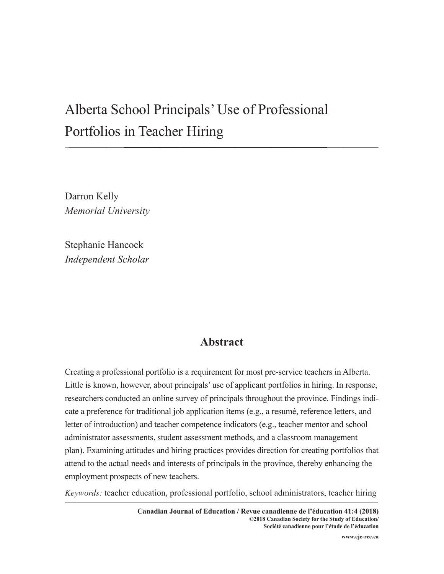# Alberta School Principals' Use of Professional Portfolios in Teacher Hiring

Darron Kelly *Memorial University*

Stephanie Hancock *Independent Scholar*

## **Abstract**

Creating a professional portfolio is a requirement for most pre-service teachers in Alberta. Little is known, however, about principals' use of applicant portfolios in hiring. In response, researchers conducted an online survey of principals throughout the province. Findings indicate a preference for traditional job application items (e.g., a resumé, reference letters, and letter of introduction) and teacher competence indicators (e.g., teacher mentor and school administrator assessments, student assessment methods, and a classroom management plan). Examining attitudes and hiring practices provides direction for creating portfolios that attend to the actual needs and interests of principals in the province, thereby enhancing the employment prospects of new teachers.

*Keywords:* teacher education, professional portfolio, school administrators, teacher hiring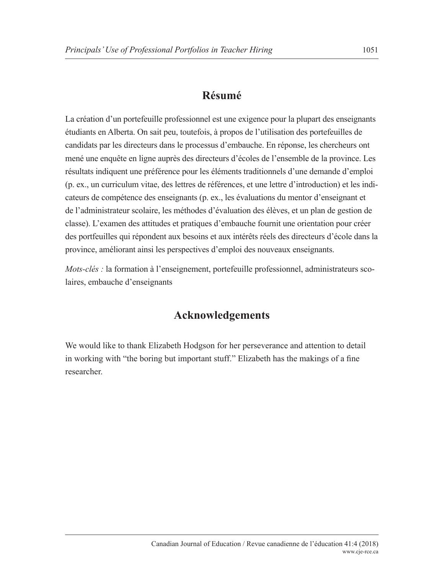# **Résumé**

La création d'un portefeuille professionnel est une exigence pour la plupart des enseignants étudiants en Alberta. On sait peu, toutefois, à propos de l'utilisation des portefeuilles de candidats par les directeurs dans le processus d'embauche. En réponse, les chercheurs ont mené une enquête en ligne auprès des directeurs d'écoles de l'ensemble de la province. Les résultats indiquent une préférence pour les éléments traditionnels d'une demande d'emploi (p. ex., un curriculum vitae, des lettres de références, et une lettre d'introduction) et les indicateurs de compétence des enseignants (p. ex., les évaluations du mentor d'enseignant et de l'administrateur scolaire, les méthodes d'évaluation des élèves, et un plan de gestion de classe). L'examen des attitudes et pratiques d'embauche fournit une orientation pour créer des portfeuilles qui répondent aux besoins et aux intérêts réels des directeurs d'école dans la province, améliorant ainsi les perspectives d'emploi des nouveaux enseignants.

*Mots-clés : la formation à l'enseignement, portefeuille professionnel, administrateurs sco*laires, embauche d'enseignants

# **Acknowledgements**

We would like to thank Elizabeth Hodgson for her perseverance and attention to detail in working with "the boring but important stuff." Elizabeth has the makings of a fine researcher.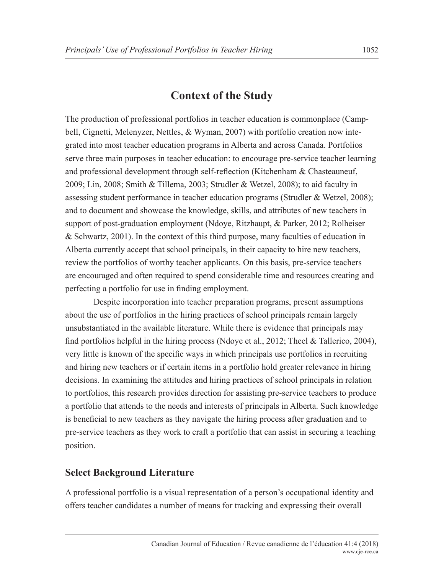# **Context of the Study**

The production of professional portfolios in teacher education is commonplace (Campbell, Cignetti, Melenyzer, Nettles, & Wyman, 2007) with portfolio creation now integrated into most teacher education programs in Alberta and across Canada. Portfolios serve three main purposes in teacher education: to encourage pre-service teacher learning and professional development through self-reflection (Kitchenham & Chasteauneuf, 2009; Lin, 2008; Smith & Tillema, 2003; Strudler & Wetzel, 2008); to aid faculty in assessing student performance in teacher education programs (Strudler & Wetzel, 2008); and to document and showcase the knowledge, skills, and attributes of new teachers in support of post-graduation employment (Ndoye, Ritzhaupt, & Parker, 2012; Rolheiser & Schwartz, 2001). In the context of this third purpose, many faculties of education in Alberta currently accept that school principals, in their capacity to hire new teachers, review the portfolios of worthy teacher applicants. On this basis, pre-service teachers are encouraged and often required to spend considerable time and resources creating and perfecting a portfolio for use in finding employment.

 Despite incorporation into teacher preparation programs, present assumptions about the use of portfolios in the hiring practices of school principals remain largely unsubstantiated in the available literature. While there is evidence that principals may find portfolios helpful in the hiring process (Ndoye et al., 2012; Theel & Tallerico, 2004), very little is known of the specific ways in which principals use portfolios in recruiting and hiring new teachers or if certain items in a portfolio hold greater relevance in hiring decisions. In examining the attitudes and hiring practices of school principals in relation to portfolios, this research provides direction for assisting pre-service teachers to produce a portfolio that attends to the needs and interests of principals in Alberta. Such knowledge is beneficial to new teachers as they navigate the hiring process after graduation and to pre-service teachers as they work to craft a portfolio that can assist in securing a teaching position.

### **Select Background Literature**

A professional portfolio is a visual representation of a person's occupational identity and offers teacher candidates a number of means for tracking and expressing their overall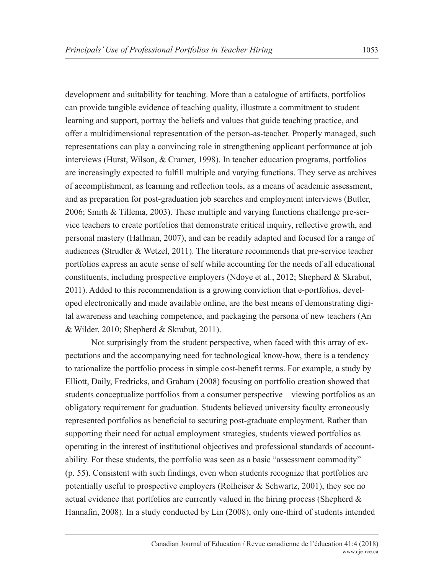development and suitability for teaching. More than a catalogue of artifacts, portfolios can provide tangible evidence of teaching quality, illustrate a commitment to student learning and support, portray the beliefs and values that guide teaching practice, and offer a multidimensional representation of the person-as-teacher. Properly managed, such representations can play a convincing role in strengthening applicant performance at job interviews (Hurst, Wilson, & Cramer, 1998). In teacher education programs, portfolios are increasingly expected to fulfill multiple and varying functions. They serve as archives of accomplishment, as learning and reflection tools, as a means of academic assessment, and as preparation for post-graduation job searches and employment interviews (Butler, 2006; Smith & Tillema, 2003). These multiple and varying functions challenge pre-service teachers to create portfolios that demonstrate critical inquiry, reflective growth, and personal mastery (Hallman, 2007), and can be readily adapted and focused for a range of audiences (Strudler & Wetzel, 2011). The literature recommends that pre-service teacher portfolios express an acute sense of self while accounting for the needs of all educational constituents, including prospective employers (Ndoye et al., 2012; Shepherd & Skrabut, 2011). Added to this recommendation is a growing conviction that e-portfolios, developed electronically and made available online, are the best means of demonstrating digital awareness and teaching competence, and packaging the persona of new teachers (An

& Wilder, 2010; Shepherd & Skrabut, 2011).

Not surprisingly from the student perspective, when faced with this array of expectations and the accompanying need for technological know-how, there is a tendency to rationalize the portfolio process in simple cost-benefit terms. For example, a study by Elliott, Daily, Fredricks, and Graham (2008) focusing on portfolio creation showed that students conceptualize portfolios from a consumer perspective—viewing portfolios as an obligatory requirement for graduation. Students believed university faculty erroneously represented portfolios as beneficial to securing post-graduate employment. Rather than supporting their need for actual employment strategies, students viewed portfolios as operating in the interest of institutional objectives and professional standards of accountability. For these students, the portfolio was seen as a basic "assessment commodity" (p. 55). Consistent with such findings, even when students recognize that portfolios are potentially useful to prospective employers (Rolheiser & Schwartz, 2001), they see no actual evidence that portfolios are currently valued in the hiring process (Shepherd  $\&$ Hannafin, 2008). In a study conducted by Lin (2008), only one-third of students intended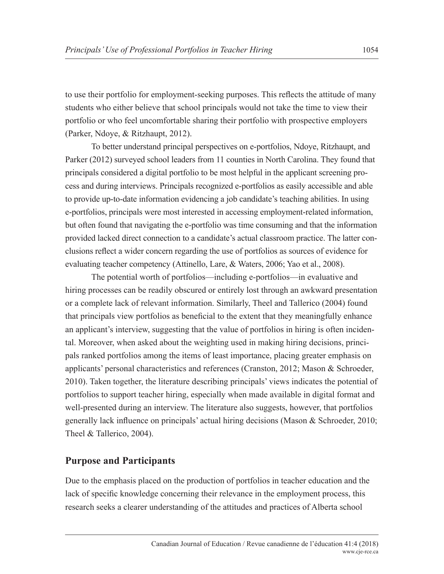to use their portfolio for employment-seeking purposes. This reflects the attitude of many students who either believe that school principals would not take the time to view their portfolio or who feel uncomfortable sharing their portfolio with prospective employers (Parker, Ndoye, & Ritzhaupt, 2012).

To better understand principal perspectives on e-portfolios, Ndoye, Ritzhaupt, and Parker (2012) surveyed school leaders from 11 counties in North Carolina. They found that principals considered a digital portfolio to be most helpful in the applicant screening process and during interviews. Principals recognized e-portfolios as easily accessible and able to provide up-to-date information evidencing a job candidate's teaching abilities. In using e-portfolios, principals were most interested in accessing employment-related information, but often found that navigating the e-portfolio was time consuming and that the information provided lacked direct connection to a candidate's actual classroom practice. The latter conclusions reflect a wider concern regarding the use of portfolios as sources of evidence for evaluating teacher competency (Attinello, Lare, & Waters, 2006; Yao et al., 2008).

The potential worth of portfolios—including e-portfolios—in evaluative and hiring processes can be readily obscured or entirely lost through an awkward presentation or a complete lack of relevant information. Similarly, Theel and Tallerico (2004) found that principals view portfolios as beneficial to the extent that they meaningfully enhance an applicant's interview, suggesting that the value of portfolios in hiring is often incidental. Moreover, when asked about the weighting used in making hiring decisions, principals ranked portfolios among the items of least importance, placing greater emphasis on applicants' personal characteristics and references (Cranston, 2012; Mason & Schroeder, 2010). Taken together, the literature describing principals' views indicates the potential of portfolios to support teacher hiring, especially when made available in digital format and well-presented during an interview. The literature also suggests, however, that portfolios generally lack influence on principals' actual hiring decisions (Mason & Schroeder, 2010; Theel & Tallerico, 2004).

### **Purpose and Participants**

Due to the emphasis placed on the production of portfolios in teacher education and the lack of specific knowledge concerning their relevance in the employment process, this research seeks a clearer understanding of the attitudes and practices of Alberta school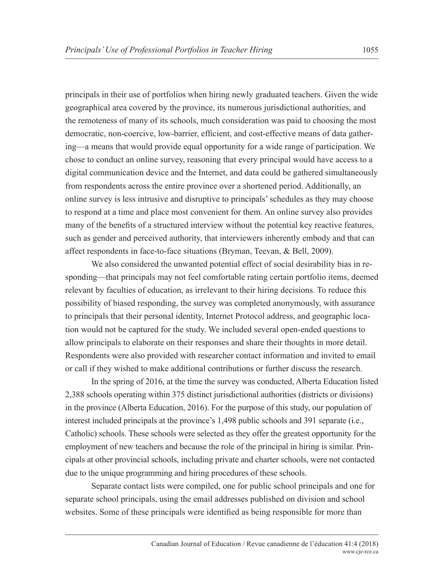principals in their use of portfolios when hiring newly graduated teachers. Given the wide geographical area covered by the province, its numerous jurisdictional authorities, and the remoteness of many of its schools, much consideration was paid to choosing the most democratic, non-coercive, low-barrier, efficient, and cost-effective means of data gathering—a means that would provide equal opportunity for a wide range of participation. We chose to conduct an online survey, reasoning that every principal would have access to a digital communication device and the Internet, and data could be gathered simultaneously from respondents across the entire province over a shortened period. Additionally, an online survey is less intrusive and disruptive to principals' schedules as they may choose to respond at a time and place most convenient for them. An online survey also provides many of the benefits of a structured interview without the potential key reactive features, such as gender and perceived authority, that interviewers inherently embody and that can affect respondents in face-to-face situations (Bryman, Teevan, & Bell, 2009).

We also considered the unwanted potential effect of social desirability bias in responding—that principals may not feel comfortable rating certain portfolio items, deemed relevant by faculties of education, as irrelevant to their hiring decisions. To reduce this possibility of biased responding, the survey was completed anonymously, with assurance to principals that their personal identity, Internet Protocol address, and geographic location would not be captured for the study. We included several open-ended questions to allow principals to elaborate on their responses and share their thoughts in more detail. Respondents were also provided with researcher contact information and invited to email or call if they wished to make additional contributions or further discuss the research.

In the spring of 2016, at the time the survey was conducted, Alberta Education listed 2,388 schools operating within 375 distinct jurisdictional authorities (districts or divisions) in the province (Alberta Education, 2016). For the purpose of this study, our population of interest included principals at the province's 1,498 public schools and 391 separate (i.e., Catholic) schools. These schools were selected as they offer the greatest opportunity for the employment of new teachers and because the role of the principal in hiring is similar. Principals at other provincial schools, including private and charter schools, were not contacted due to the unique programming and hiring procedures of these schools.

Separate contact lists were compiled, one for public school principals and one for separate school principals, using the email addresses published on division and school websites. Some of these principals were identified as being responsible for more than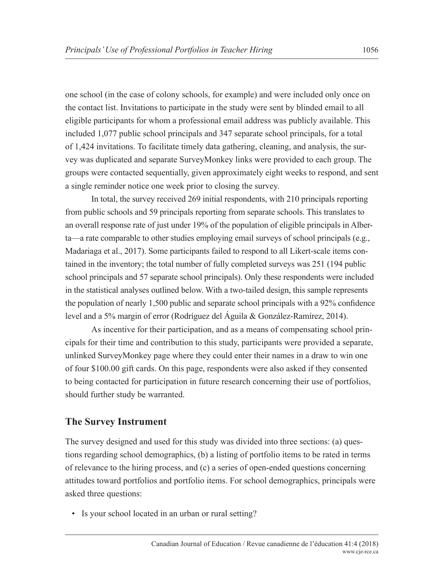one school (in the case of colony schools, for example) and were included only once on the contact list. Invitations to participate in the study were sent by blinded email to all eligible participants for whom a professional email address was publicly available. This included 1,077 public school principals and 347 separate school principals, for a total of 1,424 invitations. To facilitate timely data gathering, cleaning, and analysis, the survey was duplicated and separate SurveyMonkey links were provided to each group. The groups were contacted sequentially, given approximately eight weeks to respond, and sent a single reminder notice one week prior to closing the survey.

In total, the survey received 269 initial respondents, with 210 principals reporting from public schools and 59 principals reporting from separate schools. This translates to an overall response rate of just under 19% of the population of eligible principals in Alberta—a rate comparable to other studies employing email surveys of school principals (e.g., Madariaga et al., 2017). Some participants failed to respond to all Likert-scale items contained in the inventory; the total number of fully completed surveys was 251 (194 public school principals and 57 separate school principals). Only these respondents were included in the statistical analyses outlined below. With a two-tailed design, this sample represents the population of nearly 1,500 public and separate school principals with a 92% confidence level and a 5% margin of error (Rodríguez del Águila & González-Ramírez, 2014).

As incentive for their participation, and as a means of compensating school principals for their time and contribution to this study, participants were provided a separate, unlinked SurveyMonkey page where they could enter their names in a draw to win one of four \$100.00 gift cards. On this page, respondents were also asked if they consented to being contacted for participation in future research concerning their use of portfolios, should further study be warranted.

## **The Survey Instrument**

The survey designed and used for this study was divided into three sections: (a) questions regarding school demographics, (b) a listing of portfolio items to be rated in terms of relevance to the hiring process, and (c) a series of open-ended questions concerning attitudes toward portfolios and portfolio items. For school demographics, principals were asked three questions:

• Is your school located in an urban or rural setting?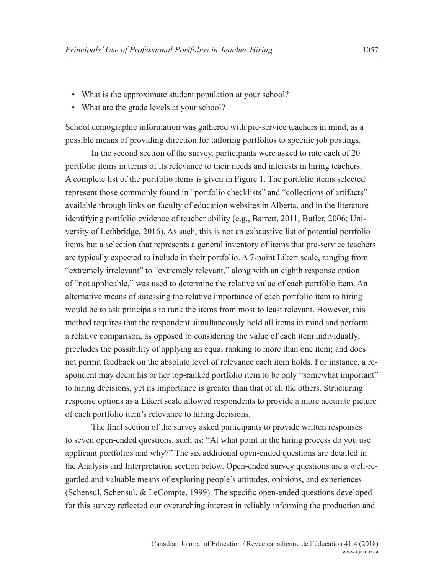- What is the approximate student population at your school?
- What are the grade levels at your school?

School demographic information was gathered with pre-service teachers in mind, as a possible means of providing direction for tailoring portfolios to specific job postings.

In the second section of the survey, participants were asked to rate each of 20 portfolio items in terms of its relevance to their needs and interests in hiring teachers. A complete list of the portfolio items is given in Figure 1. The portfolio items selected represent those commonly found in "portfolio checklists" and "collections of artifacts" available through links on faculty of education websites in Alberta, and in the literature identifying portfolio evidence of teacher ability (e.g., Barrett, 2011; Butler, 2006; University of Lethbridge, 2016). As such, this is not an exhaustive list of potential portfolio items but a selection that represents a general inventory of items that pre-service teachers are typically expected to include in their portfolio. A 7-point Likert scale, ranging from "extremely irrelevant" to "extremely relevant," along with an eighth response option of "not applicable," was used to determine the relative value of each portfolio item. An alternative means of assessing the relative importance of each portfolio item to hiring would be to ask principals to rank the items from most to least relevant. However, this method requires that the respondent simultaneously hold all items in mind and perform a relative comparison, as opposed to considering the value of each item individually; precludes the possibility of applying an equal ranking to more than one item; and does not permit feedback on the absolute level of relevance each item holds. For instance, a respondent may deem his or her top-ranked portfolio item to be only "somewhat important" to hiring decisions, yet its importance is greater than that of all the others. Structuring response options as a Likert scale allowed respondents to provide a more accurate picture of each portfolio item's relevance to hiring decisions.

The final section of the survey asked participants to provide written responses to seven open-ended questions, such as: "At what point in the hiring process do you use applicant portfolios and why?" The six additional open-ended questions are detailed in the Analysis and Interpretation section below. Open-ended survey questions are a well-regarded and valuable means of exploring people's attitudes, opinions, and experiences (Schensul, Schensul, & LeCompte, 1999). The specific open-ended questions developed for this survey reflected our overarching interest in reliably informing the production and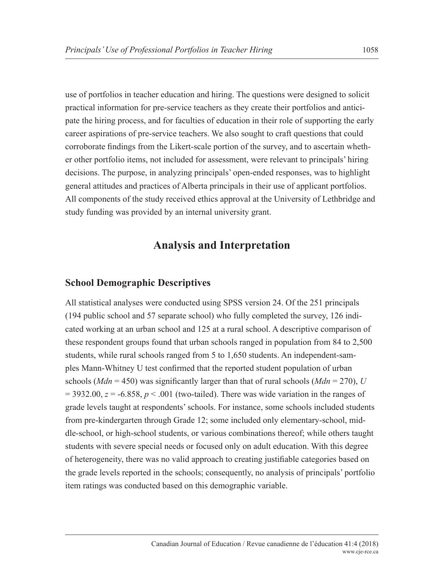use of portfolios in teacher education and hiring. The questions were designed to solicit practical information for pre-service teachers as they create their portfolios and anticipate the hiring process, and for faculties of education in their role of supporting the early career aspirations of pre-service teachers. We also sought to craft questions that could corroborate findings from the Likert-scale portion of the survey, and to ascertain whether other portfolio items, not included for assessment, were relevant to principals' hiring decisions. The purpose, in analyzing principals' open-ended responses, was to highlight general attitudes and practices of Alberta principals in their use of applicant portfolios. All components of the study received ethics approval at the University of Lethbridge and study funding was provided by an internal university grant.

## **Analysis and Interpretation**

#### **School Demographic Descriptives**

All statistical analyses were conducted using SPSS version 24. Of the 251 principals (194 public school and 57 separate school) who fully completed the survey, 126 indicated working at an urban school and 125 at a rural school. A descriptive comparison of these respondent groups found that urban schools ranged in population from 84 to 2,500 students, while rural schools ranged from 5 to 1,650 students. An independent-samples Mann-Whitney U test confirmed that the reported student population of urban schools (*Mdn* = 450) was significantly larger than that of rural schools (*Mdn* = 270), *U*  $= 3932.00$ ,  $z = -6.858$ ,  $p < .001$  (two-tailed). There was wide variation in the ranges of grade levels taught at respondents' schools. For instance, some schools included students from pre-kindergarten through Grade 12; some included only elementary-school, middle-school, or high-school students, or various combinations thereof; while others taught students with severe special needs or focused only on adult education. With this degree of heterogeneity, there was no valid approach to creating justifiable categories based on the grade levels reported in the schools; consequently, no analysis of principals' portfolio item ratings was conducted based on this demographic variable.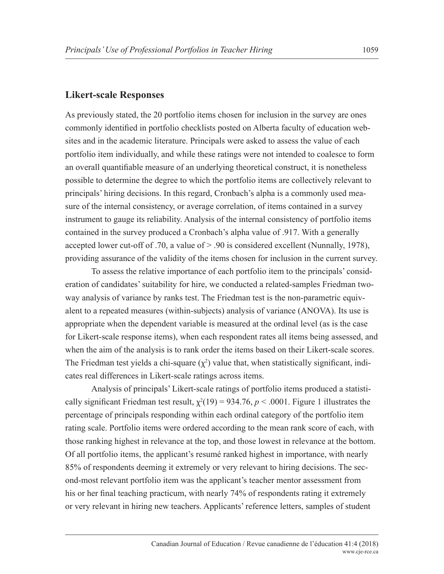#### **Likert-scale Responses**

As previously stated, the 20 portfolio items chosen for inclusion in the survey are ones commonly identified in portfolio checklists posted on Alberta faculty of education websites and in the academic literature. Principals were asked to assess the value of each portfolio item individually, and while these ratings were not intended to coalesce to form an overall quantifiable measure of an underlying theoretical construct, it is nonetheless possible to determine the degree to which the portfolio items are collectively relevant to principals' hiring decisions. In this regard, Cronbach's alpha is a commonly used measure of the internal consistency, or average correlation, of items contained in a survey instrument to gauge its reliability. Analysis of the internal consistency of portfolio items contained in the survey produced a Cronbach's alpha value of .917. With a generally accepted lower cut-off of .70, a value of > .90 is considered excellent (Nunnally, 1978), providing assurance of the validity of the items chosen for inclusion in the current survey.

To assess the relative importance of each portfolio item to the principals' consideration of candidates' suitability for hire, we conducted a related-samples Friedman twoway analysis of variance by ranks test. The Friedman test is the non-parametric equivalent to a repeated measures (within-subjects) analysis of variance (ANOVA). Its use is appropriate when the dependent variable is measured at the ordinal level (as is the case for Likert-scale response items), when each respondent rates all items being assessed, and when the aim of the analysis is to rank order the items based on their Likert-scale scores. The Friedman test yields a chi-square  $(\chi^2)$  value that, when statistically significant, indicates real differences in Likert-scale ratings across items.

Analysis of principals' Likert-scale ratings of portfolio items produced a statistically significant Friedman test result,  $\chi^2(19) = 934.76$ ,  $p < .0001$ . Figure 1 illustrates the percentage of principals responding within each ordinal category of the portfolio item rating scale. Portfolio items were ordered according to the mean rank score of each, with those ranking highest in relevance at the top, and those lowest in relevance at the bottom. Of all portfolio items, the applicant's resumé ranked highest in importance, with nearly 85% of respondents deeming it extremely or very relevant to hiring decisions. The second-most relevant portfolio item was the applicant's teacher mentor assessment from his or her final teaching practicum, with nearly 74% of respondents rating it extremely or very relevant in hiring new teachers. Applicants' reference letters, samples of student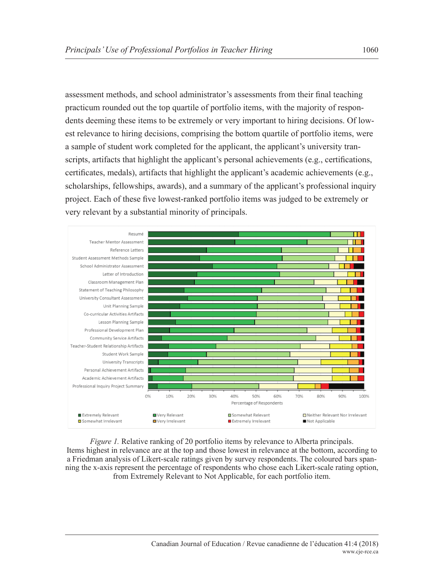assessment methods, and school administrator's assessments from their final teaching practicum rounded out the top quartile of portfolio items, with the majority of respondents deeming these items to be extremely or very important to hiring decisions. Of lowest relevance to hiring decisions, comprising the bottom quartile of portfolio items, were a sample of student work completed for the applicant, the applicant's university transcripts, artifacts that highlight the applicant's personal achievements (e.g., certifications, certificates, medals), artifacts that highlight the applicant's academic achievements (e.g., scholarships, fellowships, awards), and a summary of the applicant's professional inquiry project. Each of these five lowest-ranked portfolio items was judged to be extremely or very relevant by a substantial minority of principals.



*Figure 1.* Relative ranking of 20 portfolio items by relevance to Alberta principals. Items highest in relevance are at the top and those lowest in relevance at the bottom, according to a Friedman analysis of Likert-scale ratings given by survey respondents. The coloured bars spanning the x-axis represent the percentage of respondents who chose each Likert-scale rating option, from Extremely Relevant to Not Applicable, for each portfolio item.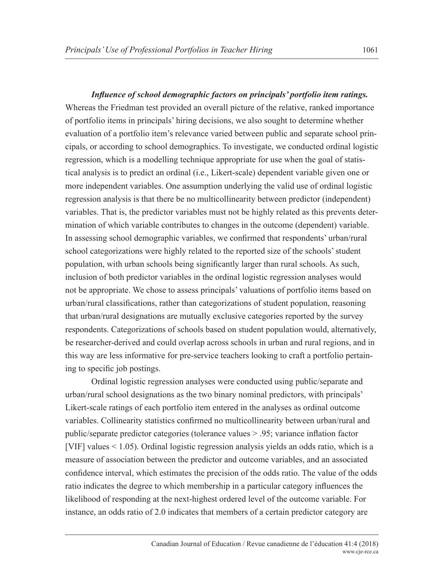*Influence of school demographic factors on principals' portfolio item ratings.* Whereas the Friedman test provided an overall picture of the relative, ranked importance of portfolio items in principals' hiring decisions, we also sought to determine whether evaluation of a portfolio item's relevance varied between public and separate school prin-

cipals, or according to school demographics. To investigate, we conducted ordinal logistic regression, which is a modelling technique appropriate for use when the goal of statistical analysis is to predict an ordinal (i.e., Likert-scale) dependent variable given one or more independent variables. One assumption underlying the valid use of ordinal logistic regression analysis is that there be no multicollinearity between predictor (independent) variables. That is, the predictor variables must not be highly related as this prevents determination of which variable contributes to changes in the outcome (dependent) variable. In assessing school demographic variables, we confirmed that respondents' urban/rural school categorizations were highly related to the reported size of the schools' student population, with urban schools being significantly larger than rural schools. As such, inclusion of both predictor variables in the ordinal logistic regression analyses would not be appropriate. We chose to assess principals' valuations of portfolio items based on urban/rural classifications, rather than categorizations of student population, reasoning that urban/rural designations are mutually exclusive categories reported by the survey respondents. Categorizations of schools based on student population would, alternatively, be researcher-derived and could overlap across schools in urban and rural regions, and in this way are less informative for pre-service teachers looking to craft a portfolio pertaining to specific job postings.

Ordinal logistic regression analyses were conducted using public/separate and urban/rural school designations as the two binary nominal predictors, with principals' Likert-scale ratings of each portfolio item entered in the analyses as ordinal outcome variables. Collinearity statistics confirmed no multicollinearity between urban/rural and public/separate predictor categories (tolerance values > .95; variance inflation factor [VIF] values < 1.05). Ordinal logistic regression analysis yields an odds ratio, which is a measure of association between the predictor and outcome variables, and an associated confidence interval, which estimates the precision of the odds ratio. The value of the odds ratio indicates the degree to which membership in a particular category influences the likelihood of responding at the next-highest ordered level of the outcome variable. For instance, an odds ratio of 2.0 indicates that members of a certain predictor category are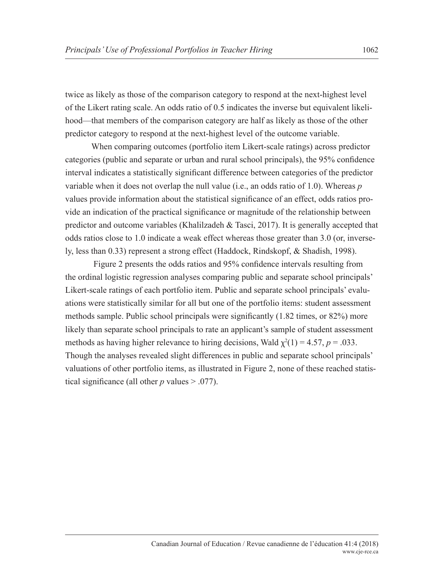twice as likely as those of the comparison category to respond at the next-highest level of the Likert rating scale. An odds ratio of 0.5 indicates the inverse but equivalent likelihood—that members of the comparison category are half as likely as those of the other predictor category to respond at the next-highest level of the outcome variable.

When comparing outcomes (portfolio item Likert-scale ratings) across predictor categories (public and separate or urban and rural school principals), the 95% confidence interval indicates a statistically significant difference between categories of the predictor variable when it does not overlap the null value (i.e., an odds ratio of 1.0). Whereas *p* values provide information about the statistical significance of an effect, odds ratios provide an indication of the practical significance or magnitude of the relationship between predictor and outcome variables (Khalilzadeh & Tasci, 2017). It is generally accepted that odds ratios close to 1.0 indicate a weak effect whereas those greater than 3.0 (or, inversely, less than 0.33) represent a strong effect (Haddock, Rindskopf, & Shadish, 1998).

 Figure 2 presents the odds ratios and 95% confidence intervals resulting from the ordinal logistic regression analyses comparing public and separate school principals' Likert-scale ratings of each portfolio item. Public and separate school principals' evaluations were statistically similar for all but one of the portfolio items: student assessment methods sample. Public school principals were significantly (1.82 times, or 82%) more likely than separate school principals to rate an applicant's sample of student assessment methods as having higher relevance to hiring decisions, Wald  $\chi^2(1) = 4.57$ ,  $p = .033$ . Though the analyses revealed slight differences in public and separate school principals' valuations of other portfolio items, as illustrated in Figure 2, none of these reached statistical significance (all other  $p$  values  $> 0.077$ ).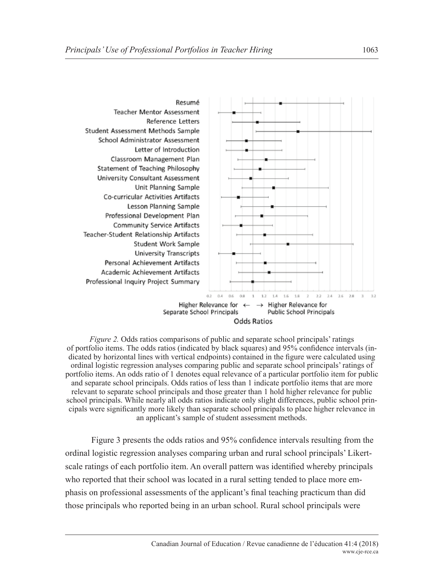

*Figure 2.* Odds ratios comparisons of public and separate school principals' ratings of portfolio items. The odds ratios (indicated by black squares) and 95% confidence intervals (indicated by horizontal lines with vertical endpoints) contained in the figure were calculated using ordinal logistic regression analyses comparing public and separate school principals' ratings of portfolio items. An odds ratio of 1 denotes equal relevance of a particular portfolio item for public and separate school principals. Odds ratios of less than 1 indicate portfolio items that are more relevant to separate school principals and those greater than 1 hold higher relevance for public school principals. While nearly all odds ratios indicate only slight differences, public school principals were significantly more likely than separate school principals to place higher relevance in an applicant's sample of student assessment methods.

Figure 3 presents the odds ratios and 95% confidence intervals resulting from the ordinal logistic regression analyses comparing urban and rural school principals' Likertscale ratings of each portfolio item. An overall pattern was identified whereby principals who reported that their school was located in a rural setting tended to place more emphasis on professional assessments of the applicant's final teaching practicum than did those principals who reported being in an urban school. Rural school principals were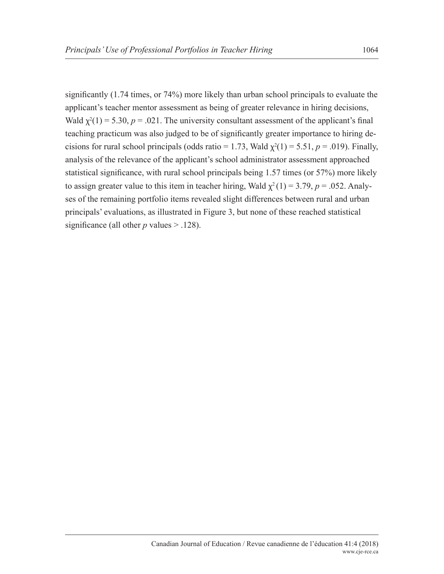significantly (1.74 times, or 74%) more likely than urban school principals to evaluate the applicant's teacher mentor assessment as being of greater relevance in hiring decisions, Wald  $\chi^2(1) = 5.30$ ,  $p = .021$ . The university consultant assessment of the applicant's final teaching practicum was also judged to be of significantly greater importance to hiring decisions for rural school principals (odds ratio = 1.73, Wald  $\chi^2(1) = 5.51$ ,  $p = .019$ ). Finally, analysis of the relevance of the applicant's school administrator assessment approached statistical significance, with rural school principals being 1.57 times (or 57%) more likely to assign greater value to this item in teacher hiring, Wald  $\chi^2(1) = 3.79$ ,  $p = .052$ . Analyses of the remaining portfolio items revealed slight differences between rural and urban principals' evaluations, as illustrated in Figure 3, but none of these reached statistical significance (all other  $p$  values  $> 0.128$ ).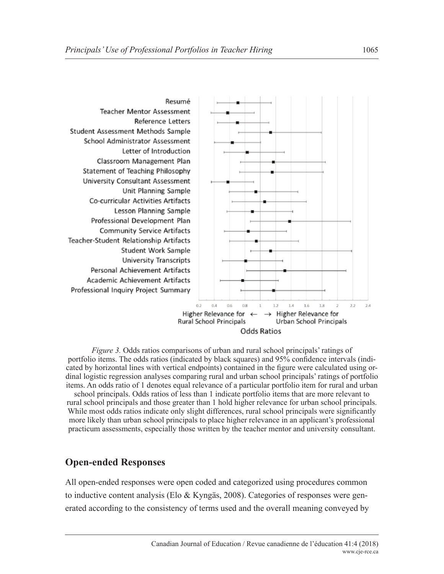

*Figure 3.* Odds ratios comparisons of urban and rural school principals' ratings of portfolio items. The odds ratios (indicated by black squares) and 95% confidence intervals (indicated by horizontal lines with vertical endpoints) contained in the figure were calculated using ordinal logistic regression analyses comparing rural and urban school principals' ratings of portfolio items. An odds ratio of 1 denotes equal relevance of a particular portfolio item for rural and urban

school principals. Odds ratios of less than 1 indicate portfolio items that are more relevant to rural school principals and those greater than 1 hold higher relevance for urban school principals. While most odds ratios indicate only slight differences, rural school principals were significantly more likely than urban school principals to place higher relevance in an applicant's professional practicum assessments, especially those written by the teacher mentor and university consultant.

## **Open-ended Responses**

All open-ended responses were open coded and categorized using procedures common to inductive content analysis (Elo  $\&$  Kyngäs, 2008). Categories of responses were generated according to the consistency of terms used and the overall meaning conveyed by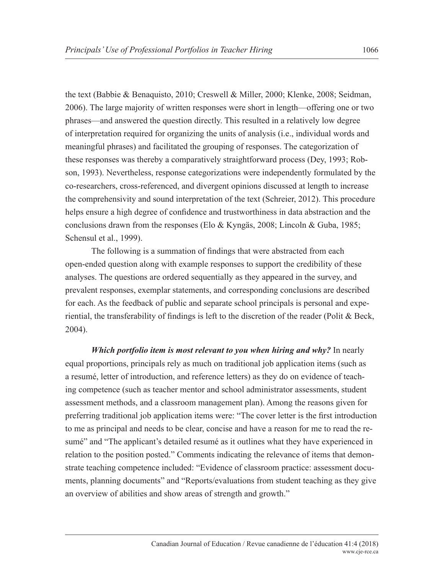the text (Babbie & Benaquisto, 2010; Creswell & Miller, 2000; Klenke, 2008; Seidman, 2006). The large majority of written responses were short in length—offering one or two phrases—and answered the question directly. This resulted in a relatively low degree of interpretation required for organizing the units of analysis (i.e., individual words and meaningful phrases) and facilitated the grouping of responses. The categorization of these responses was thereby a comparatively straightforward process (Dey, 1993; Robson, 1993). Nevertheless, response categorizations were independently formulated by the co-researchers, cross-referenced, and divergent opinions discussed at length to increase the comprehensivity and sound interpretation of the text (Schreier, 2012). This procedure helps ensure a high degree of confidence and trustworthiness in data abstraction and the conclusions drawn from the responses (Elo & Kyngäs, 2008; Lincoln & Guba, 1985; Schensul et al., 1999).

The following is a summation of findings that were abstracted from each open-ended question along with example responses to support the credibility of these analyses. The questions are ordered sequentially as they appeared in the survey, and prevalent responses, exemplar statements, and corresponding conclusions are described for each. As the feedback of public and separate school principals is personal and experiential, the transferability of findings is left to the discretion of the reader (Polit & Beck, 2004).

*Which portfolio item is most relevant to you when hiring and why?* In nearly equal proportions, principals rely as much on traditional job application items (such as a resumé, letter of introduction, and reference letters) as they do on evidence of teaching competence (such as teacher mentor and school administrator assessments, student assessment methods, and a classroom management plan). Among the reasons given for preferring traditional job application items were: "The cover letter is the first introduction to me as principal and needs to be clear, concise and have a reason for me to read the resumé" and "The applicant's detailed resumé as it outlines what they have experienced in relation to the position posted." Comments indicating the relevance of items that demonstrate teaching competence included: "Evidence of classroom practice: assessment documents, planning documents" and "Reports/evaluations from student teaching as they give an overview of abilities and show areas of strength and growth."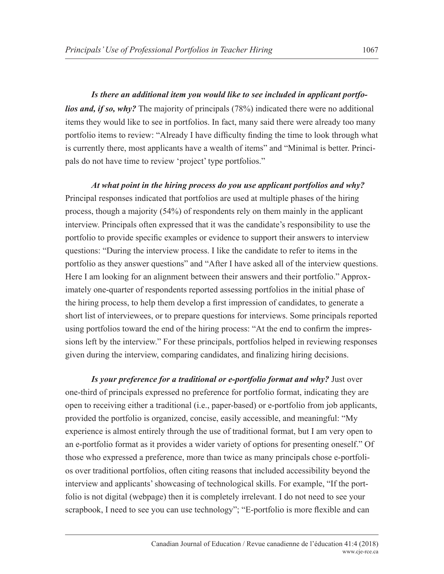*Is there an additional item you would like to see included in applicant portfolios and, if so, why?* The majority of principals (78%) indicated there were no additional items they would like to see in portfolios. In fact, many said there were already too many portfolio items to review: "Already I have difficulty finding the time to look through what is currently there, most applicants have a wealth of items" and "Minimal is better. Principals do not have time to review 'project' type portfolios."

*At what point in the hiring process do you use applicant portfolios and why?* Principal responses indicated that portfolios are used at multiple phases of the hiring process, though a majority (54%) of respondents rely on them mainly in the applicant interview. Principals often expressed that it was the candidate's responsibility to use the portfolio to provide specific examples or evidence to support their answers to interview questions: "During the interview process. I like the candidate to refer to items in the portfolio as they answer questions" and "After I have asked all of the interview questions. Here I am looking for an alignment between their answers and their portfolio." Approximately one-quarter of respondents reported assessing portfolios in the initial phase of the hiring process, to help them develop a first impression of candidates, to generate a short list of interviewees, or to prepare questions for interviews. Some principals reported using portfolios toward the end of the hiring process: "At the end to confirm the impressions left by the interview." For these principals, portfolios helped in reviewing responses given during the interview, comparing candidates, and finalizing hiring decisions.

*Is your preference for a traditional or e-portfolio format and why?* Just over one-third of principals expressed no preference for portfolio format, indicating they are open to receiving either a traditional (i.e., paper-based) or e-portfolio from job applicants, provided the portfolio is organized, concise, easily accessible, and meaningful: "My experience is almost entirely through the use of traditional format, but I am very open to an e-portfolio format as it provides a wider variety of options for presenting oneself." Of those who expressed a preference, more than twice as many principals chose e-portfolios over traditional portfolios, often citing reasons that included accessibility beyond the interview and applicants' showcasing of technological skills. For example, "If the portfolio is not digital (webpage) then it is completely irrelevant. I do not need to see your scrapbook, I need to see you can use technology"; "E-portfolio is more flexible and can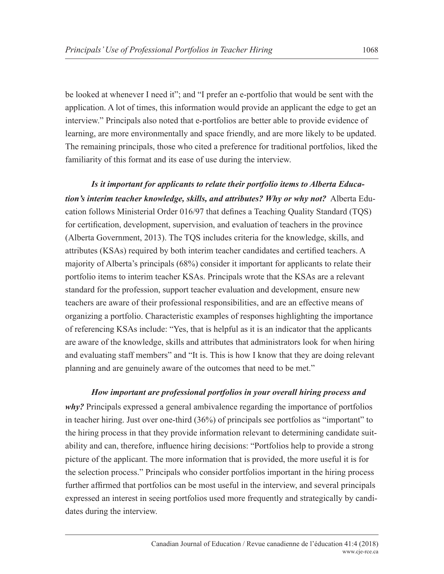be looked at whenever I need it"; and "I prefer an e-portfolio that would be sent with the application. A lot of times, this information would provide an applicant the edge to get an interview." Principals also noted that e-portfolios are better able to provide evidence of learning, are more environmentally and space friendly, and are more likely to be updated. The remaining principals, those who cited a preference for traditional portfolios, liked the familiarity of this format and its ease of use during the interview.

*Is it important for applicants to relate their portfolio items to Alberta Education's interim teacher knowledge, skills, and attributes? Why or why not?* Alberta Education follows Ministerial Order 016/97 that defines a Teaching Quality Standard (TQS) for certification, development, supervision, and evaluation of teachers in the province (Alberta Government, 2013). The TQS includes criteria for the knowledge, skills, and attributes (KSAs) required by both interim teacher candidates and certified teachers. A majority of Alberta's principals (68%) consider it important for applicants to relate their portfolio items to interim teacher KSAs. Principals wrote that the KSAs are a relevant standard for the profession, support teacher evaluation and development, ensure new teachers are aware of their professional responsibilities, and are an effective means of organizing a portfolio. Characteristic examples of responses highlighting the importance of referencing KSAs include: "Yes, that is helpful as it is an indicator that the applicants are aware of the knowledge, skills and attributes that administrators look for when hiring and evaluating staff members" and "It is. This is how I know that they are doing relevant planning and are genuinely aware of the outcomes that need to be met."

#### *How important are professional portfolios in your overall hiring process and*

*why?* Principals expressed a general ambivalence regarding the importance of portfolios in teacher hiring. Just over one-third (36%) of principals see portfolios as "important" to the hiring process in that they provide information relevant to determining candidate suitability and can, therefore, influence hiring decisions: "Portfolios help to provide a strong picture of the applicant. The more information that is provided, the more useful it is for the selection process." Principals who consider portfolios important in the hiring process further affirmed that portfolios can be most useful in the interview, and several principals expressed an interest in seeing portfolios used more frequently and strategically by candidates during the interview.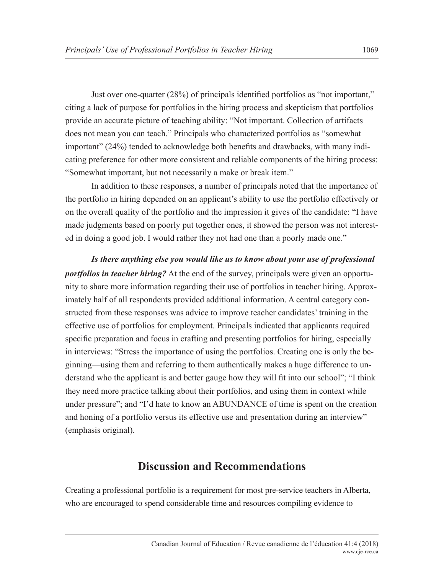Just over one-quarter (28%) of principals identified portfolios as "not important," citing a lack of purpose for portfolios in the hiring process and skepticism that portfolios provide an accurate picture of teaching ability: "Not important. Collection of artifacts does not mean you can teach." Principals who characterized portfolios as "somewhat important" (24%) tended to acknowledge both benefits and drawbacks, with many indicating preference for other more consistent and reliable components of the hiring process: "Somewhat important, but not necessarily a make or break item."

In addition to these responses, a number of principals noted that the importance of the portfolio in hiring depended on an applicant's ability to use the portfolio effectively or on the overall quality of the portfolio and the impression it gives of the candidate: "I have made judgments based on poorly put together ones, it showed the person was not interested in doing a good job. I would rather they not had one than a poorly made one."

*Is there anything else you would like us to know about your use of professional portfolios in teacher hiring?* At the end of the survey, principals were given an opportunity to share more information regarding their use of portfolios in teacher hiring. Approximately half of all respondents provided additional information. A central category constructed from these responses was advice to improve teacher candidates' training in the effective use of portfolios for employment. Principals indicated that applicants required specific preparation and focus in crafting and presenting portfolios for hiring, especially in interviews: "Stress the importance of using the portfolios. Creating one is only the beginning—using them and referring to them authentically makes a huge difference to understand who the applicant is and better gauge how they will fit into our school"; "I think they need more practice talking about their portfolios, and using them in context while under pressure"; and "I'd hate to know an ABUNDANCE of time is spent on the creation and honing of a portfolio versus its effective use and presentation during an interview" (emphasis original).

# **Discussion and Recommendations**

Creating a professional portfolio is a requirement for most pre-service teachers in Alberta, who are encouraged to spend considerable time and resources compiling evidence to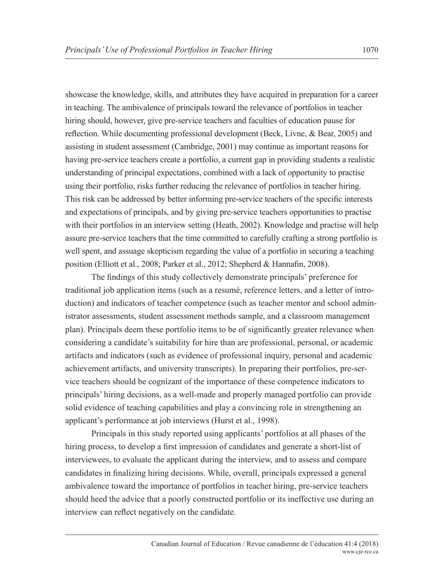showcase the knowledge, skills, and attributes they have acquired in preparation for a career in teaching. The ambivalence of principals toward the relevance of portfolios in teacher hiring should, however, give pre-service teachers and faculties of education pause for reflection. While documenting professional development (Beck, Livne, & Bear, 2005) and assisting in student assessment (Cambridge, 2001) may continue as important reasons for having pre-service teachers create a portfolio, a current gap in providing students a realistic understanding of principal expectations, combined with a lack of opportunity to practise using their portfolio, risks further reducing the relevance of portfolios in teacher hiring. This risk can be addressed by better informing pre-service teachers of the specific interests and expectations of principals, and by giving pre-service teachers opportunities to practise with their portfolios in an interview setting (Heath, 2002). Knowledge and practise will help assure pre-service teachers that the time committed to carefully crafting a strong portfolio is well spent, and assuage skepticism regarding the value of a portfolio in securing a teaching position (Elliott et al., 2008; Parker et al., 2012; Shepherd & Hannafin, 2008).

The findings of this study collectively demonstrate principals' preference for traditional job application items (such as a resumé, reference letters, and a letter of introduction) and indicators of teacher competence (such as teacher mentor and school administrator assessments, student assessment methods sample, and a classroom management plan). Principals deem these portfolio items to be of significantly greater relevance when considering a candidate's suitability for hire than are professional, personal, or academic artifacts and indicators (such as evidence of professional inquiry, personal and academic achievement artifacts, and university transcripts). In preparing their portfolios, pre-service teachers should be cognizant of the importance of these competence indicators to principals' hiring decisions, as a well-made and properly managed portfolio can provide solid evidence of teaching capabilities and play a convincing role in strengthening an applicant's performance at job interviews (Hurst et al., 1998).

Principals in this study reported using applicants' portfolios at all phases of the hiring process, to develop a first impression of candidates and generate a short-list of interviewees, to evaluate the applicant during the interview, and to assess and compare candidates in finalizing hiring decisions. While, overall, principals expressed a general ambivalence toward the importance of portfolios in teacher hiring, pre-service teachers should heed the advice that a poorly constructed portfolio or its ineffective use during an interview can reflect negatively on the candidate.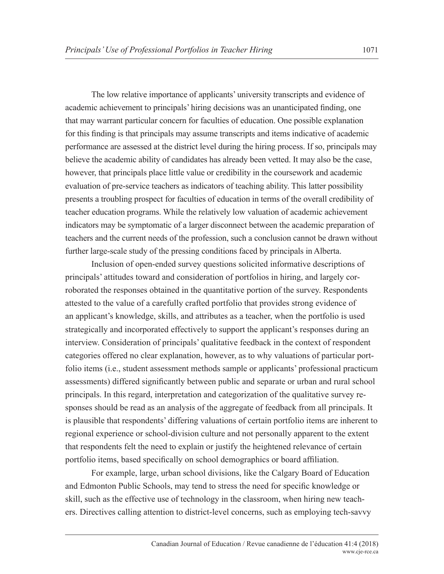The low relative importance of applicants' university transcripts and evidence of academic achievement to principals' hiring decisions was an unanticipated finding, one that may warrant particular concern for faculties of education. One possible explanation for this finding is that principals may assume transcripts and items indicative of academic performance are assessed at the district level during the hiring process. If so, principals may believe the academic ability of candidates has already been vetted. It may also be the case, however, that principals place little value or credibility in the coursework and academic evaluation of pre-service teachers as indicators of teaching ability. This latter possibility presents a troubling prospect for faculties of education in terms of the overall credibility of teacher education programs. While the relatively low valuation of academic achievement indicators may be symptomatic of a larger disconnect between the academic preparation of teachers and the current needs of the profession, such a conclusion cannot be drawn without further large-scale study of the pressing conditions faced by principals in Alberta.

Inclusion of open-ended survey questions solicited informative descriptions of principals' attitudes toward and consideration of portfolios in hiring, and largely corroborated the responses obtained in the quantitative portion of the survey. Respondents attested to the value of a carefully crafted portfolio that provides strong evidence of an applicant's knowledge, skills, and attributes as a teacher, when the portfolio is used strategically and incorporated effectively to support the applicant's responses during an interview. Consideration of principals' qualitative feedback in the context of respondent categories offered no clear explanation, however, as to why valuations of particular portfolio items (i.e., student assessment methods sample or applicants' professional practicum assessments) differed significantly between public and separate or urban and rural school principals. In this regard, interpretation and categorization of the qualitative survey responses should be read as an analysis of the aggregate of feedback from all principals. It is plausible that respondents' differing valuations of certain portfolio items are inherent to regional experience or school-division culture and not personally apparent to the extent that respondents felt the need to explain or justify the heightened relevance of certain portfolio items, based specifically on school demographics or board affiliation.

For example, large, urban school divisions, like the Calgary Board of Education and Edmonton Public Schools, may tend to stress the need for specific knowledge or skill, such as the effective use of technology in the classroom, when hiring new teachers. Directives calling attention to district-level concerns, such as employing tech-savvy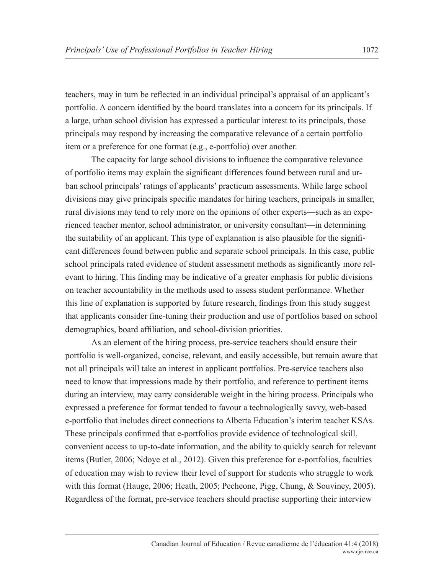teachers, may in turn be reflected in an individual principal's appraisal of an applicant's portfolio. A concern identified by the board translates into a concern for its principals. If a large, urban school division has expressed a particular interest to its principals, those principals may respond by increasing the comparative relevance of a certain portfolio item or a preference for one format (e.g., e-portfolio) over another.

The capacity for large school divisions to influence the comparative relevance of portfolio items may explain the significant differences found between rural and urban school principals' ratings of applicants' practicum assessments. While large school divisions may give principals specific mandates for hiring teachers, principals in smaller, rural divisions may tend to rely more on the opinions of other experts—such as an experienced teacher mentor, school administrator, or university consultant—in determining the suitability of an applicant. This type of explanation is also plausible for the significant differences found between public and separate school principals. In this case, public school principals rated evidence of student assessment methods as significantly more relevant to hiring. This finding may be indicative of a greater emphasis for public divisions on teacher accountability in the methods used to assess student performance. Whether this line of explanation is supported by future research, findings from this study suggest that applicants consider fine-tuning their production and use of portfolios based on school demographics, board affiliation, and school-division priorities.

As an element of the hiring process, pre-service teachers should ensure their portfolio is well-organized, concise, relevant, and easily accessible, but remain aware that not all principals will take an interest in applicant portfolios. Pre-service teachers also need to know that impressions made by their portfolio, and reference to pertinent items during an interview, may carry considerable weight in the hiring process. Principals who expressed a preference for format tended to favour a technologically savvy, web-based e-portfolio that includes direct connections to Alberta Education's interim teacher KSAs. These principals confirmed that e-portfolios provide evidence of technological skill, convenient access to up-to-date information, and the ability to quickly search for relevant items (Butler, 2006; Ndoye et al., 2012). Given this preference for e-portfolios, faculties of education may wish to review their level of support for students who struggle to work with this format (Hauge, 2006; Heath, 2005; Pecheone, Pigg, Chung, & Souviney, 2005). Regardless of the format, pre-service teachers should practise supporting their interview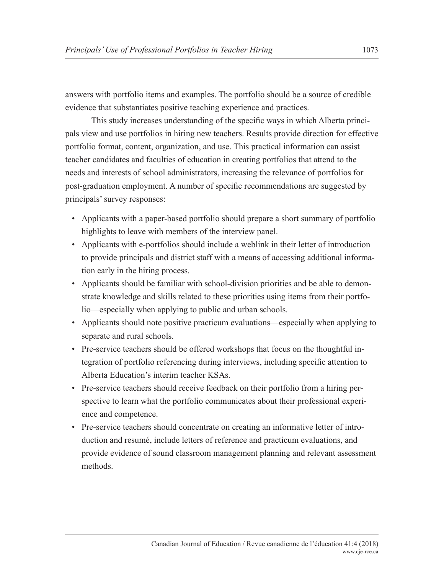answers with portfolio items and examples. The portfolio should be a source of credible evidence that substantiates positive teaching experience and practices.

This study increases understanding of the specific ways in which Alberta principals view and use portfolios in hiring new teachers. Results provide direction for effective portfolio format, content, organization, and use. This practical information can assist teacher candidates and faculties of education in creating portfolios that attend to the needs and interests of school administrators, increasing the relevance of portfolios for post-graduation employment. A number of specific recommendations are suggested by principals' survey responses:

- Applicants with a paper-based portfolio should prepare a short summary of portfolio highlights to leave with members of the interview panel.
- Applicants with e-portfolios should include a weblink in their letter of introduction to provide principals and district staff with a means of accessing additional information early in the hiring process.
- Applicants should be familiar with school-division priorities and be able to demonstrate knowledge and skills related to these priorities using items from their portfolio—especially when applying to public and urban schools.
- Applicants should note positive practicum evaluations—especially when applying to separate and rural schools.
- Pre-service teachers should be offered workshops that focus on the thoughtful integration of portfolio referencing during interviews, including specific attention to Alberta Education's interim teacher KSAs.
- Pre-service teachers should receive feedback on their portfolio from a hiring perspective to learn what the portfolio communicates about their professional experience and competence.
- Pre-service teachers should concentrate on creating an informative letter of introduction and resumé, include letters of reference and practicum evaluations, and provide evidence of sound classroom management planning and relevant assessment methods.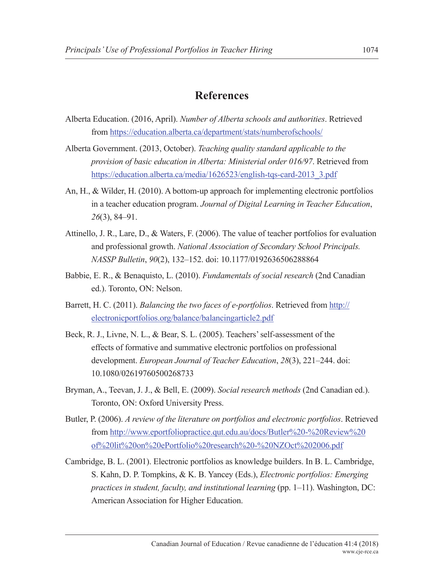## **References**

- Alberta Education. (2016, April). *Number of Alberta schools and authorities*. Retrieved from https://education.alberta.ca/department/stats/numberofschools/
- Alberta Government. (2013, October). *Teaching quality standard applicable to the provision of basic education in Alberta: Ministerial order 016/97*. Retrieved from https://education.alberta.ca/media/1626523/english-tqs-card-2013\_3.pdf
- An, H., & Wilder, H. (2010). A bottom-up approach for implementing electronic portfolios in a teacher education program. *Journal of Digital Learning in Teacher Education*, *26*(3), 84–91.
- Attinello, J. R., Lare, D., & Waters, F. (2006). The value of teacher portfolios for evaluation and professional growth. *National Association of Secondary School Principals. NASSP Bulletin*, *90*(2), 132–152. doi: 10.1177/0192636506288864
- Babbie, E. R., & Benaquisto, L. (2010). *Fundamentals of social research* (2nd Canadian ed.). Toronto, ON: Nelson.
- Barrett, H. C. (2011). *Balancing the two faces of e-portfolios*. Retrieved from http:// electronicportfolios.org/balance/balancingarticle2.pdf
- Beck, R. J., Livne, N. L., & Bear, S. L. (2005). Teachers' self-assessment of the effects of formative and summative electronic portfolios on professional development. *European Journal of Teacher Education*, *28*(3), 221–244. doi: 10.1080/02619760500268733
- Bryman, A., Teevan, J. J., & Bell, E. (2009). *Social research methods* (2nd Canadian ed.). Toronto, ON: Oxford University Press.
- Butler, P. (2006). *A review of the literature on portfolios and electronic portfolios*. Retrieved from http://www.eportfoliopractice.qut.edu.au/docs/Butler%20-%20Review%20 of%20lit%20on%20ePortfolio%20research%20-%20NZOct%202006.pdf
- Cambridge, B. L. (2001). Electronic portfolios as knowledge builders. In B. L. Cambridge, S. Kahn, D. P. Tompkins, & K. B. Yancey (Eds.), *Electronic portfolios: Emerging practices in student, faculty, and institutional learning* (pp. 1–11). Washington, DC: American Association for Higher Education.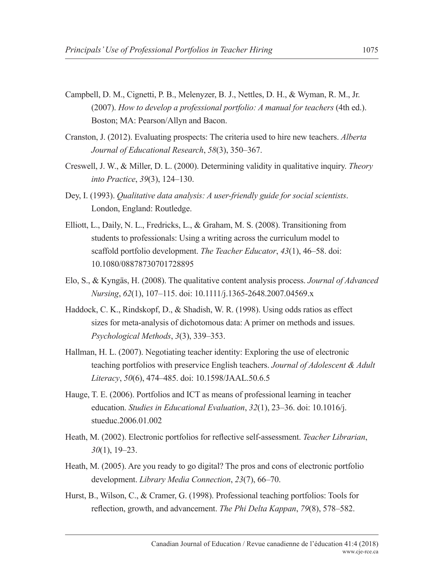- Campbell, D. M., Cignetti, P. B., Melenyzer, B. J., Nettles, D. H., & Wyman, R. M., Jr. (2007). *How to develop a professional portfolio: A manual for teachers* (4th ed.). Boston; MA: Pearson/Allyn and Bacon.
- Cranston, J. (2012). Evaluating prospects: The criteria used to hire new teachers. *Alberta Journal of Educational Research*, *58*(3), 350–367.
- Creswell, J. W., & Miller, D. L. (2000). Determining validity in qualitative inquiry. *Theory into Practice*, *39*(3), 124–130.
- Dey, I. (1993). *Qualitative data analysis: A user-friendly guide for social scientists*. London, England: Routledge.
- Elliott, L., Daily, N. L., Fredricks, L., & Graham, M. S. (2008). Transitioning from students to professionals: Using a writing across the curriculum model to scaffold portfolio development. *The Teacher Educator*, *43*(1), 46–58. doi: 10.1080/08878730701728895
- Elo, S., & Kyngäs, H. (2008). The qualitative content analysis process. *Journal of Advanced Nursing*, *62*(1), 107–115. doi: 10.1111/j.1365-2648.2007.04569.x
- Haddock, C. K., Rindskopf, D., & Shadish, W. R. (1998). Using odds ratios as effect sizes for meta-analysis of dichotomous data: A primer on methods and issues. *Psychological Methods*, *3*(3), 339–353.
- Hallman, H. L. (2007). Negotiating teacher identity: Exploring the use of electronic teaching portfolios with preservice English teachers. *Journal of Adolescent & Adult Literacy*, *50*(6), 474–485. doi: 10.1598/JAAL.50.6.5
- Hauge, T. E. (2006). Portfolios and ICT as means of professional learning in teacher education. *Studies in Educational Evaluation*, *32*(1), 23–36. doi: 10.1016/j. stueduc.2006.01.002
- Heath, M. (2002). Electronic portfolios for reflective self-assessment. *Teacher Librarian*, *30*(1), 19–23.
- Heath, M. (2005). Are you ready to go digital? The pros and cons of electronic portfolio development. *Library Media Connection*, *23*(7), 66–70.
- Hurst, B., Wilson, C., & Cramer, G. (1998). Professional teaching portfolios: Tools for reflection, growth, and advancement. *The Phi Delta Kappan*, *79*(8), 578–582.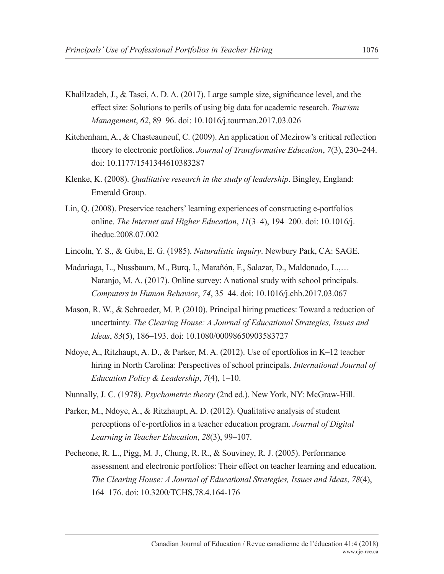- Khalilzadeh, J., & Tasci, A. D. A. (2017). Large sample size, significance level, and the effect size: Solutions to perils of using big data for academic research. *Tourism Management*, *62*, 89–96. doi: 10.1016/j.tourman.2017.03.026
- Kitchenham, A., & Chasteauneuf, C. (2009). An application of Mezirow's critical reflection theory to electronic portfolios. *Journal of Transformative Education*, *7*(3), 230–244. doi: 10.1177/1541344610383287
- Klenke, K. (2008). *Qualitative research in the study of leadership*. Bingley, England: Emerald Group.
- Lin, Q. (2008). Preservice teachers' learning experiences of constructing e-portfolios online. *The Internet and Higher Education*, *11*(3–4), 194–200. doi: 10.1016/j. iheduc.2008.07.002
- Lincoln, Y. S., & Guba, E. G. (1985). *Naturalistic inquiry*. Newbury Park, CA: SAGE.
- Madariaga, L., Nussbaum, M., Burq, I., Marañón, F., Salazar, D., Maldonado, L.,… Naranjo, M. A. (2017). Online survey: A national study with school principals. *Computers in Human Behavior*, *74*, 35–44. doi: 10.1016/j.chb.2017.03.067
- Mason, R. W., & Schroeder, M. P. (2010). Principal hiring practices: Toward a reduction of uncertainty. *The Clearing House: A Journal of Educational Strategies, Issues and Ideas*, *83*(5), 186–193. doi: 10.1080/00098650903583727
- Ndoye, A., Ritzhaupt, A. D., & Parker, M. A. (2012). Use of eportfolios in K–12 teacher hiring in North Carolina: Perspectives of school principals. *International Journal of Education Policy & Leadership*, *7*(4), 1–10.
- Nunnally, J. C. (1978). *Psychometric theory* (2nd ed.). New York, NY: McGraw-Hill.
- Parker, M., Ndoye, A., & Ritzhaupt, A. D. (2012). Qualitative analysis of student perceptions of e-portfolios in a teacher education program. *Journal of Digital Learning in Teacher Education*, *28*(3), 99–107.
- Pecheone, R. L., Pigg, M. J., Chung, R. R., & Souviney, R. J. (2005). Performance assessment and electronic portfolios: Their effect on teacher learning and education. *The Clearing House: A Journal of Educational Strategies, Issues and Ideas*, *78*(4), 164–176. doi: 10.3200/TCHS.78.4.164-176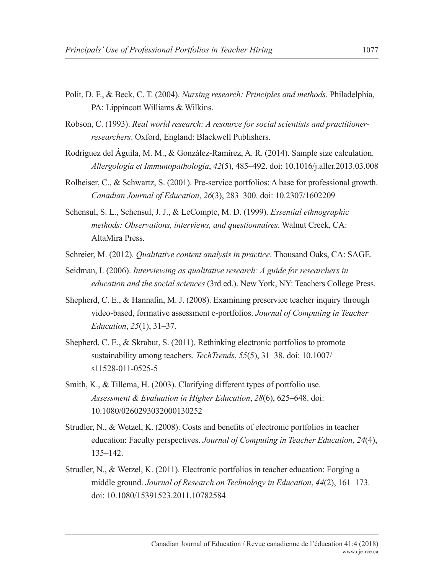- Polit, D. F., & Beck, C. T. (2004). *Nursing research: Principles and methods*. Philadelphia, PA: Lippincott Williams & Wilkins.
- Robson, C. (1993). *Real world research: A resource for social scientists and practitionerresearchers*. Oxford, England: Blackwell Publishers.
- Rodríguez del Águila, M. M., & González-Ramírez, A. R. (2014). Sample size calculation. *Allergologia et Immunopathologia*, *42*(5), 485–492. doi: 10.1016/j.aller.2013.03.008
- Rolheiser, C., & Schwartz, S. (2001). Pre-service portfolios: A base for professional growth. *Canadian Journal of Education*, *26*(3), 283–300. doi: 10.2307/1602209
- Schensul, S. L., Schensul, J. J., & LeCompte, M. D. (1999). *Essential ethnographic methods: Observations, interviews, and questionnaires*. Walnut Creek, CA: AltaMira Press.
- Schreier, M. (2012). *Qualitative content analysis in practice*. Thousand Oaks, CA: SAGE.
- Seidman, I. (2006). *Interviewing as qualitative research: A guide for researchers in education and the social sciences* (3rd ed.). New York, NY: Teachers College Press.
- Shepherd, C. E., & Hannafin, M. J. (2008). Examining preservice teacher inquiry through video-based, formative assessment e-portfolios. *Journal of Computing in Teacher Education*, *25*(1), 31–37.
- Shepherd, C. E., & Skrabut, S. (2011). Rethinking electronic portfolios to promote sustainability among teachers. *TechTrends*, *55*(5), 31–38. doi: 10.1007/ s11528-011-0525-5
- Smith, K., & Tillema, H. (2003). Clarifying different types of portfolio use. *Assessment & Evaluation in Higher Education*, *28*(6), 625–648. doi: 10.1080/0260293032000130252
- Strudler, N., & Wetzel, K. (2008). Costs and benefits of electronic portfolios in teacher education: Faculty perspectives. *Journal of Computing in Teacher Education*, *24*(4), 135–142.
- Strudler, N., & Wetzel, K. (2011). Electronic portfolios in teacher education: Forging a middle ground. *Journal of Research on Technology in Education*, *44*(2), 161–173. doi: 10.1080/15391523.2011.10782584